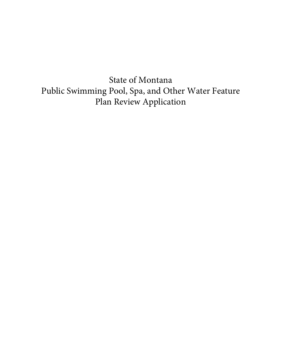State of Montana Public Swimming Pool, Spa, and Other Water Feature Plan Review Application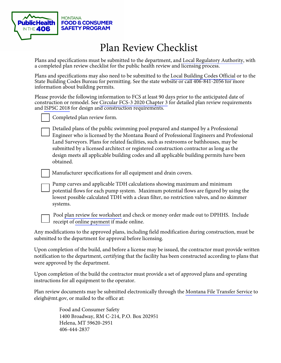

# Plan Review Checklist

Plans and specifications must be submitted to the department, and [Local Regulatory Authority,](https://dphhs.mt.gov/publichealth/FCSS/countytribalhealthdepts) with a completed plan review checklist for the public health review and licensing process.

Plans and specifications may also need to be submitted to the [Local Building Codes Official](http://bsd.dli.mt.gov/building-codes-permits/certified-government) or to the State Building Codes Bureau for permitting. See the state website or call 406-841-2056 for more information about building permits.

 and [ISPSC 2018](https://codes.iccsafe.org/content/ISPSC2018P3) for design and construction requirements. Please provide the following information to FCS at least 90 days prior to the anticipated date of construction or remodel. See [Circular FCS-3 2020](https://dphhs.mt.gov/Portals/85/publichealth/documents/FCS/Circular%20FCS%203-2020_1.pdf) Chapter 3 for detailed plan review requirements



Completed plan review form.

Detailed plans of the public swimming pool prepared and stamped by a Professional Engineer who is licensed by the Montana Board of Professional Engineers and Professional Land Surveyors. Plans for related facilities, such as restrooms or bathhouses, may be submitted by a licensed architect or registered construction contractor as long as the design meets all applicable building codes and all applicable building permits have been obtained.

Manufacturer specifications for all equipment and drain covers.

Pump curves and applicable TDH calculations showing maximum and minimum potential flows for each pump system. Maximum potential flows are figured by using the lowest possible calculated TDH with a clean filter, no restriction valves, and no skimmer systems.



Pool [plan review fee worksheet](https://dphhs.mt.gov/Portals/85/publichealth/documents/FCS/PoolPlanReviewFeeCalculator.xlsx) and check or money order made out to DPHHS. Include receipt of [online payment](https://dphhs.mt.gov/Portals/85/publichealth/documents/FCS/POOL%20PLAN%20REVIEW%20ONLINE%20PAYMENT%202016.pdf) if made online.

Any modifications to the approved plans, including field modification during construction, must be submitted to the department for approval before licensing.

Upon completion of the build, and before a license may be issued, the contractor must provide written notification to the department, certifying that the facility has been constructed according to plans that were approved by the department.

Upon completion of the build the contractor must provide a set of approved plans and operating instructions for all equipment to the operator.

Plan review documents may be submitted electronically through the [Montana File Transfer Service](https://transfer.mt.gov/Home/Login) to [eleigh@mt.gov](mailto:eleigh@mt.gov), or mailed to the office at:

> Food and Consumer Safety 1400 Broadway, RM C-214, P.O. Box 202951 Helena, MT 59620-2951 406-444-2837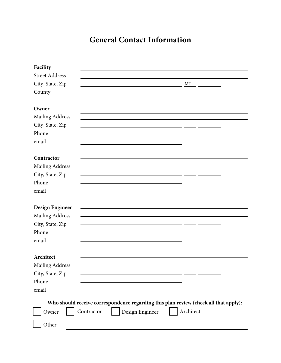### **General Contact Information**

| Facility               |            |                                                                                      |           |  |
|------------------------|------------|--------------------------------------------------------------------------------------|-----------|--|
| <b>Street Address</b>  |            |                                                                                      |           |  |
| City, State, Zip       |            |                                                                                      | MT        |  |
| County                 |            |                                                                                      |           |  |
|                        |            |                                                                                      |           |  |
| Owner                  |            |                                                                                      |           |  |
| Mailing Address        |            |                                                                                      |           |  |
| City, State, Zip       |            |                                                                                      |           |  |
| Phone                  |            |                                                                                      |           |  |
| email                  |            |                                                                                      |           |  |
|                        |            |                                                                                      |           |  |
| Contractor             |            |                                                                                      |           |  |
| Mailing Address        |            |                                                                                      |           |  |
| City, State, Zip       |            |                                                                                      |           |  |
| Phone                  |            |                                                                                      |           |  |
| email                  |            |                                                                                      |           |  |
|                        |            |                                                                                      |           |  |
| Design Engineer        |            |                                                                                      |           |  |
| Mailing Address        |            |                                                                                      |           |  |
| City, State, Zip       |            |                                                                                      |           |  |
| Phone                  |            |                                                                                      |           |  |
| email                  |            |                                                                                      |           |  |
|                        |            |                                                                                      |           |  |
| Architect              |            |                                                                                      |           |  |
| <b>Mailing Address</b> |            |                                                                                      |           |  |
| City, State, Zip       |            |                                                                                      |           |  |
| Phone                  |            |                                                                                      |           |  |
| email                  |            |                                                                                      |           |  |
|                        |            | Who should receive correspondence regarding this plan review (check all that apply): |           |  |
| Owner                  | Contractor | Design Engineer                                                                      | Architect |  |
| Other                  |            |                                                                                      |           |  |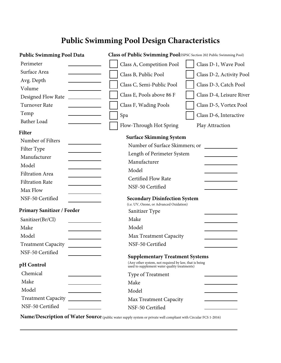### **Public Swimming Pool Design Characteristics**

| <b>Public Swimming Pool Data</b>  | Class of Public Swimming Pool(ISPSC Section 202 Public Swimming Pool)                                                                           |  |  |
|-----------------------------------|-------------------------------------------------------------------------------------------------------------------------------------------------|--|--|
| Perimeter                         | Class A, Competition Pool<br>Class D-1, Wave Pool                                                                                               |  |  |
| Surface Area                      | Class B, Public Pool<br>Class D-2, Activity Pool                                                                                                |  |  |
| Avg. Depth                        |                                                                                                                                                 |  |  |
| Volume                            | Class C, Semi-Public Pool<br>Class D-3, Catch Pool                                                                                              |  |  |
| Designed Flow Rate                | Class E, Pools above 86 F<br>Class D-4, Leisure River                                                                                           |  |  |
| Turnover Rate                     | Class F, Wading Pools<br>Class D-5, Vortex Pool                                                                                                 |  |  |
| Temp                              | Spa<br>Class D-6, Interactive                                                                                                                   |  |  |
| Bather Load                       | Flow-Through Hot Spring<br>Play Attraction                                                                                                      |  |  |
| <b>Filter</b>                     | <b>Surface Skimming System</b>                                                                                                                  |  |  |
| Number of Filters                 | Number of Surface Skimmers; or                                                                                                                  |  |  |
| Filter Type                       | Length of Perimeter System                                                                                                                      |  |  |
| Manufacturer                      | Manufacturer                                                                                                                                    |  |  |
| Model                             |                                                                                                                                                 |  |  |
| <b>Filtration Area</b>            | Model                                                                                                                                           |  |  |
| <b>Filtration Rate</b>            | <b>Certified Flow Rate</b>                                                                                                                      |  |  |
| Max Flow                          | NSF-50 Certified                                                                                                                                |  |  |
| NSF-50 Certified                  | <b>Secondary Disinfection System</b><br>(i.e. UV, Ozone, or Advanced Oxidation)                                                                 |  |  |
| <b>Primary Sanitizer / Feeder</b> | Sanitizer Type                                                                                                                                  |  |  |
| Sanitizer(Br/Cl)                  | Make                                                                                                                                            |  |  |
| Make                              | Model                                                                                                                                           |  |  |
| Model                             | Max Treatment Capacity                                                                                                                          |  |  |
| <b>Treatment Capacity</b>         | NSF-50 Certified                                                                                                                                |  |  |
| NSF-50 Certified                  |                                                                                                                                                 |  |  |
| pH Control                        | <b>Supplementary Treatment Systems</b><br>(Any other system, not required by law, that is being<br>used to supplement water quality treatments) |  |  |
| Chemical                          | Type of Treatment                                                                                                                               |  |  |
| Make                              | Make                                                                                                                                            |  |  |
| Model                             | Model                                                                                                                                           |  |  |
| <b>Treatment Capacity</b>         | Max Treatment Capacity                                                                                                                          |  |  |
| NSF-50 Certified                  | NSF-50 Certified                                                                                                                                |  |  |

**Name/Description of Water Source** (public water supply system or private well compliant with Circular FCS 1-2016)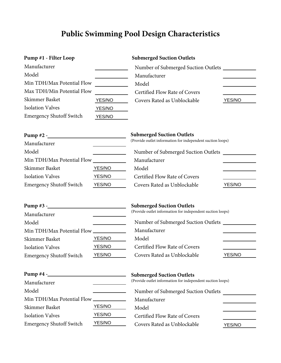## **Public Swimming Pool Design Characteristics**

| Pump #1 - Filter Loop           |        | <b>Submerged Suction Outlets</b>                           |        |
|---------------------------------|--------|------------------------------------------------------------|--------|
| Manufacturer                    |        |                                                            |        |
| Model                           |        | Manufacturer                                               |        |
| Min TDH/Max Potential Flow      |        | Model                                                      |        |
| Max TDH/Min Potential Flow      |        | Certified Flow Rate of Covers                              |        |
| Skimmer Basket                  | YES/NO | Covers Rated as Unblockable                                | YES/NO |
| <b>Isolation Valves</b>         | YES/NO |                                                            |        |
| <b>Emergency Shutoff Switch</b> | YES/NO |                                                            |        |
| $Pump #2 -$                     |        | <b>Submerged Suction Outlets</b>                           |        |
| Manufacturer                    |        | (Provide outlet information for independent suction loops) |        |
| Model                           |        | Number of Submerged Suction Outlets                        |        |
| Min TDH/Max Potential Flow      |        | Manufacturer                                               |        |
| Skimmer Basket                  | YES/NO | Model                                                      |        |
| <b>Isolation Valves</b>         | YES/NO | Certified Flow Rate of Covers                              |        |
| <b>Emergency Shutoff Switch</b> | YES/NO | Covers Rated as Unblockable                                | YES/NO |
| $Pump #3 -$                     |        | <b>Submerged Suction Outlets</b>                           |        |
| Manufacturer                    |        | (Provide outlet information for independent suction loops) |        |
| Model                           |        | Number of Submerged Suction Outlets __________             |        |
| Min TDH/Max Potential Flow      |        | Manufacturer                                               |        |
| Skimmer Basket                  | YES/NO | Model                                                      |        |
| <b>Isolation Valves</b>         | YES/NO | Certified Flow Rate of Covers                              |        |
| <b>Emergency Shutoff Switch</b> | YES/NO | Covers Rated as Unblockable                                | YES/NO |
|                                 |        | <b>Submerged Suction Outlets</b>                           |        |
| Manufacturer                    |        | (Provide outlet information for independent suction loops) |        |
| Model                           |        | Number of Submerged Suction Outlets                        |        |
| Min TDH/Max Potential Flow      |        | Manufacturer                                               |        |
| Skimmer Basket                  | YES/NO | Model                                                      |        |
| <b>Isolation Valves</b>         | YES/NO | Certified Flow Rate of Covers                              |        |
| <b>Emergency Shutoff Switch</b> | YES/NO | Covers Rated as Unblockable                                | YES/NO |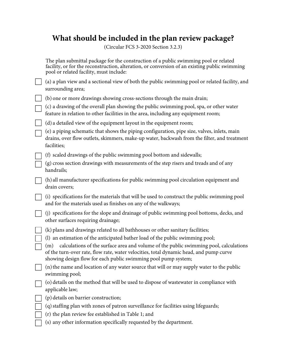### **What should be included in the plan review package?**

(Circular FCS 3-2020 Section 3.2.3)

| The plan submittal package for the construction of a public swimming pool or related<br>facility, or for the reconstruction, alteration, or conversion of an existing public swimming<br>pool or related facility, must include:                         |
|----------------------------------------------------------------------------------------------------------------------------------------------------------------------------------------------------------------------------------------------------------|
| (a) a plan view and a sectional view of both the public swimming pool or related facility, and<br>surrounding area;                                                                                                                                      |
| (b) one or more drawings showing cross-sections through the main drain;                                                                                                                                                                                  |
| (c) a drawing of the overall plan showing the public swimming pool, spa, or other water<br>feature in relation to other facilities in the area, including any equipment room;                                                                            |
| (d) a detailed view of the equipment layout in the equipment room;                                                                                                                                                                                       |
| (e) a piping schematic that shows the piping configuration, pipe size, valves, inlets, main<br>drains, over flow outlets, skimmers, make-up water, backwash from the filter, and treatment<br>facilities;                                                |
| (f) scaled drawings of the public swimming pool bottom and sidewalls;                                                                                                                                                                                    |
| (g) cross section drawings with measurements of the step risers and treads and of any<br>handrails;                                                                                                                                                      |
| (h) all manufacturer specifications for public swimming pool circulation equipment and<br>drain covers;                                                                                                                                                  |
| (i) specifications for the materials that will be used to construct the public swimming pool<br>and for the materials used as finishes on any of the walkways;                                                                                           |
| (j) specifications for the slope and drainage of public swimming pool bottoms, decks, and<br>other surfaces requiring drainage;                                                                                                                          |
| (k) plans and drawings related to all bathhouses or other sanitary facilities;                                                                                                                                                                           |
| (l) an estimation of the anticipated bather load of the public swimming pool;                                                                                                                                                                            |
| calculations of the surface area and volume of the public swimming pool, calculations<br>(m)<br>of the turn-over rate, flow rate, water velocities, total dynamic head, and pump curve<br>showing design flow for each public swimming pool pump system; |
| (n) the name and location of any water source that will or may supply water to the public<br>swimming pool;                                                                                                                                              |
| (o) details on the method that will be used to dispose of wastewater in compliance with<br>applicable law;                                                                                                                                               |
| (p) details on barrier construction;                                                                                                                                                                                                                     |
| (q) staffing plan with zones of patron surveillance for facilities using lifeguards;                                                                                                                                                                     |
| (r) the plan review fee established in Table 1; and                                                                                                                                                                                                      |
| (s) any other information specifically requested by the department.                                                                                                                                                                                      |